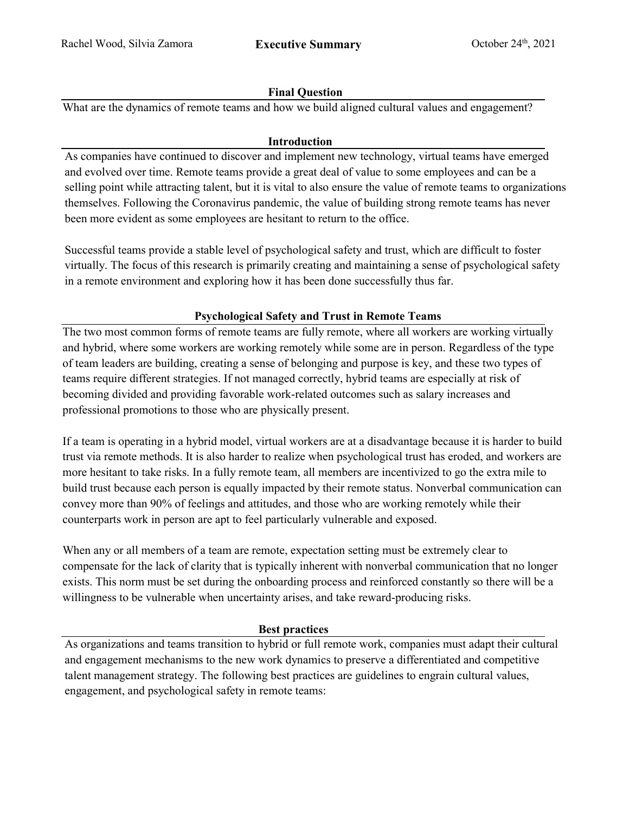## **Final Question**

What are the dynamics of remote teams and how we build aligned cultural values and engagement?

## **Introduction**

As companies have continued to discover and implement new technology, virtual teams have emerged and evolved over time. Remote teams provide a great deal of value to some employees and can be a selling point while attracting talent, but it is vital to also ensure the value of remote teams to organizations themselves. Following the Coronavirus pandemic, the value of building strong remote teams has never been more evident as some employees are hesitant to return to the office.

Successful teams provide a stable level of psychological safety and trust, which are difficult to foster virtually. The focus of this research is primarily creating and maintaining a sense of psychological safety in a remote environment and exploring how it has been done successfully thus far.

# **Psychological Safety and Trust in Remote Teams**

The two most common forms of remote teams are fully remote, where all workers are working virtually and hybrid, where some workers are working remotely while some are in person. Regardless of the type of team leaders are building, creating a sense of belonging and purpose is key, and these two types of teams require different strategies. If not managed correctly, hybrid teams are especially at risk of becoming divided and providing favorable work-related outcomes such as salary increases and professional promotions to those who are physically present.

If a team is operating in a hybrid model, virtual workers are at a disadvantage because it is harder to build trust via remote methods. It is also harder to realize when psychological trust has eroded, and workers are more hesitant to take risks. In a fully remote team, all members are incentivized to go the extra mile to build trust because each person is equally impacted by their remote status. Nonverbal communication can convey more than 90% of feelings and attitudes, and those who are working remotely while their counterparts work in person are apt to feel particularly vulnerable and exposed.

When any or all members of a team are remote, expectation setting must be extremely clear to compensate for the lack of clarity that is typically inherent with nonverbal communication that no longer exists. This norm must be set during the onboarding process and reinforced constantly so there will be a willingness to be vulnerable when uncertainty arises, and take reward-producing risks.

#### **Best practices**

As organizations and teams transition to hybrid or full remote work, companies must adapt their cultural and engagement mechanisms to the new work dynamics to preserve a differentiated and competitive talent management strategy. The following best practices are guidelines to engrain cultural values, engagement, and psychological safety in remote teams: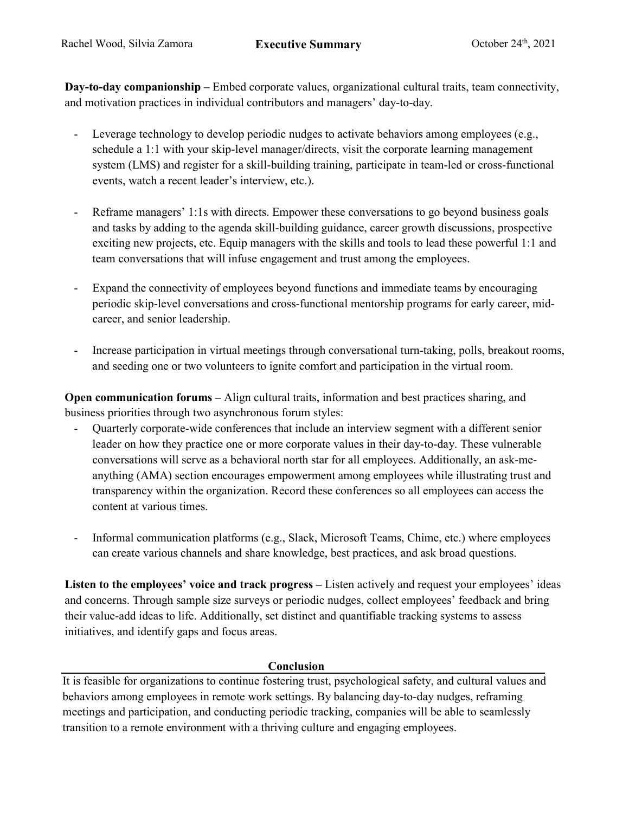**Day-to-day companionship –** Embed corporate values, organizational cultural traits, team connectivity, and motivation practices in individual contributors and managers' day-to-day.

- Leverage technology to develop periodic nudges to activate behaviors among employees (e.g., schedule a 1:1 with your skip-level manager/directs, visit the corporate learning management system (LMS) and register for a skill-building training, participate in team-led or cross-functional events, watch a recent leader's interview, etc.).
- Reframe managers' 1:1s with directs. Empower these conversations to go beyond business goals and tasks by adding to the agenda skill-building guidance, career growth discussions, prospective exciting new projects, etc. Equip managers with the skills and tools to lead these powerful 1:1 and team conversations that will infuse engagement and trust among the employees.
- Expand the connectivity of employees beyond functions and immediate teams by encouraging periodic skip-level conversations and cross-functional mentorship programs for early career, midcareer, and senior leadership.
- Increase participation in virtual meetings through conversational turn-taking, polls, breakout rooms, and seeding one or two volunteers to ignite comfort and participation in the virtual room.

**Open communication forums** – Align cultural traits, information and best practices sharing, and business priorities through two asynchronous forum styles:

- Quarterly corporate-wide conferences that include an interview segment with a different senior leader on how they practice one or more corporate values in their day-to-day. These vulnerable conversations will serve as a behavioral north star for all employees. Additionally, an ask-meanything (AMA) section encourages empowerment among employees while illustrating trust and transparency within the organization. Record these conferences so all employees can access the content at various times.
- Informal communication platforms (e.g., Slack, Microsoft Teams, Chime, etc.) where employees can create various channels and share knowledge, best practices, and ask broad questions.

**Listen to the employees' voice and track progress –** Listen actively and request your employees' ideas and concerns. Through sample size surveys or periodic nudges, collect employees' feedback and bring their value-add ideas to life. Additionally, set distinct and quantifiable tracking systems to assess initiatives, and identify gaps and focus areas.

## **Conclusion**

It is feasible for organizations to continue fostering trust, psychological safety, and cultural values and behaviors among employees in remote work settings. By balancing day-to-day nudges, reframing meetings and participation, and conducting periodic tracking, companies will be able to seamlessly transition to a remote environment with a thriving culture and engaging employees.